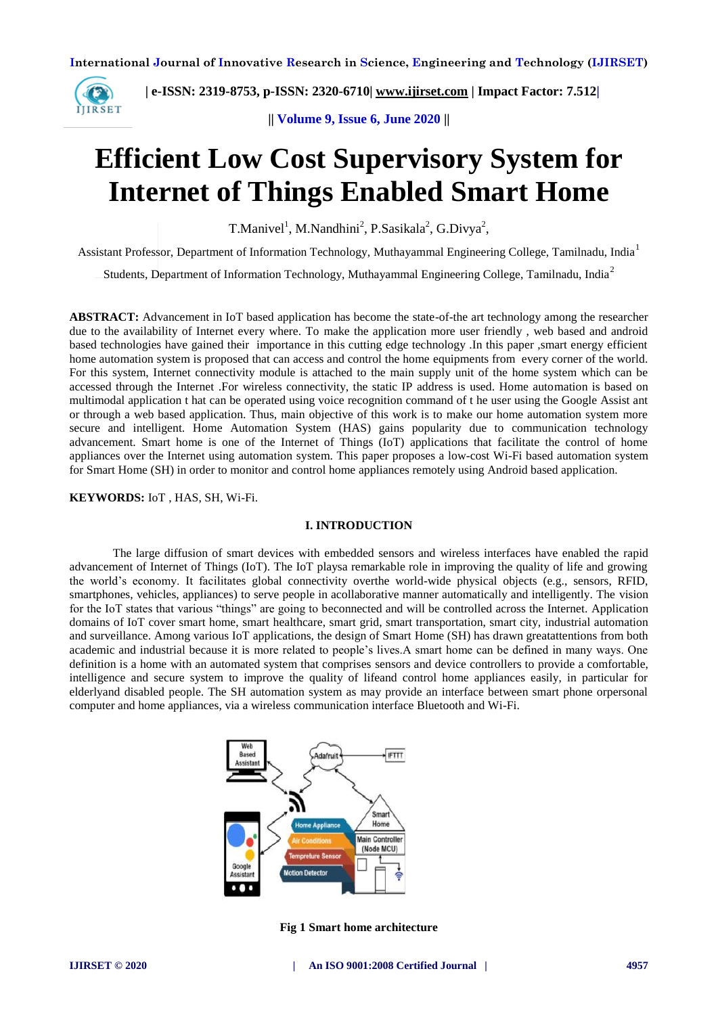

 **| e-ISSN: 2319-8753, p-ISSN: 2320-6710| [www.ijirset.com](http://www.ijirset.com/) | Impact Factor: 7.512|**

**|| Volume 9, Issue 6, June 2020 ||** 

# **Efficient Low Cost Supervisory System for Internet of Things Enabled Smart Home**

T.Manivel<sup>1</sup>, M.Nandhini<sup>2</sup>, P.Sasikala<sup>2</sup>, G.Divya<sup>2</sup>,

Assistant Professor, Department of Information Technology, Muthayammal Engineering College, Tamilnadu, India<sup>1</sup>

Students, Department of Information Technology, Muthayammal Engineering College, Tamilnadu, India<sup>2</sup>

**ABSTRACT:** Advancement in IoT based application has become the state-of-the art technology among the researcher due to the availability of Internet every where. To make the application more user friendly , web based and android based technologies have gained their importance in this cutting edge technology .In this paper ,smart energy efficient home automation system is proposed that can access and control the home equipments from every corner of the world. For this system, Internet connectivity module is attached to the main supply unit of the home system which can be accessed through the Internet .For wireless connectivity, the static IP address is used. Home automation is based on multimodal application t hat can be operated using voice recognition command of t he user using the Google Assist ant or through a web based application. Thus, main objective of this work is to make our home automation system more secure and intelligent. Home Automation System (HAS) gains popularity due to communication technology advancement. Smart home is one of the Internet of Things (IoT) applications that facilitate the control of home appliances over the Internet using automation system. This paper proposes a low-cost Wi-Fi based automation system for Smart Home (SH) in order to monitor and control home appliances remotely using Android based application.

**KEYWORDS:** IoT , HAS, SH, Wi-Fi.

## **I. INTRODUCTION**

The large diffusion of smart devices with embedded sensors and wireless interfaces have enabled the rapid advancement of Internet of Things (IoT). The IoT playsa remarkable role in improving the quality of life and growing the world's economy. It facilitates global connectivity overthe world-wide physical objects (e.g., sensors, RFID, smartphones, vehicles, appliances) to serve people in acollaborative manner automatically and intelligently. The vision for the IoT states that various "things" are going to beconnected and will be controlled across the Internet. Application domains of IoT cover smart home, smart healthcare, smart grid, smart transportation, smart city, industrial automation and surveillance. Among various IoT applications, the design of Smart Home (SH) has drawn greatattentions from both academic and industrial because it is more related to people's lives.A smart home can be defined in many ways. One definition is a home with an automated system that comprises sensors and device controllers to provide a comfortable, intelligence and secure system to improve the quality of lifeand control home appliances easily, in particular for elderlyand disabled people. The SH automation system as may provide an interface between smart phone orpersonal computer and home appliances, via a wireless communication interface Bluetooth and Wi-Fi.



**Fig 1 Smart home architecture**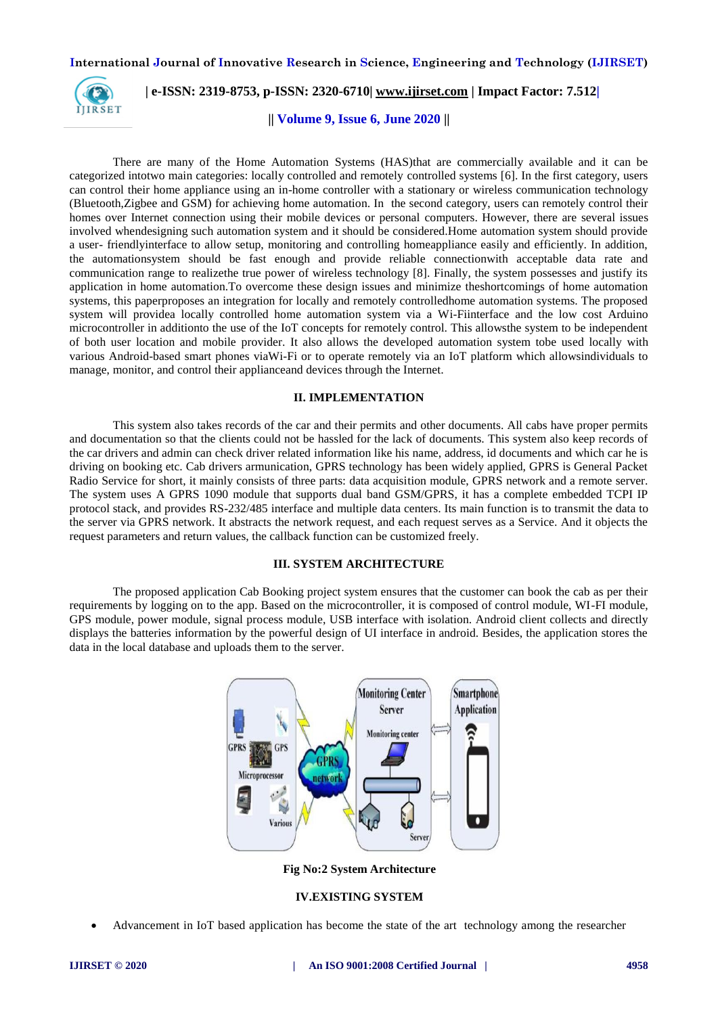

# **| e-ISSN: 2319-8753, p-ISSN: 2320-6710| [www.ijirset.com](http://www.ijirset.com/) | Impact Factor: 7.512|**

**|| Volume 9, Issue 6, June 2020 ||** 

There are many of the Home Automation Systems (HAS)that are commercially available and it can be categorized intotwo main categories: locally controlled and remotely controlled systems [6]. In the first category, users can control their home appliance using an in-home controller with a stationary or wireless communication technology (Bluetooth,Zigbee and GSM) for achieving home automation. In the second category, users can remotely control their homes over Internet connection using their mobile devices or personal computers. However, there are several issues involved whendesigning such automation system and it should be considered.Home automation system should provide a user- friendlyinterface to allow setup, monitoring and controlling homeappliance easily and efficiently. In addition, the automationsystem should be fast enough and provide reliable connectionwith acceptable data rate and communication range to realizethe true power of wireless technology [8]. Finally, the system possesses and justify its application in home automation.To overcome these design issues and minimize theshortcomings of home automation systems, this paperproposes an integration for locally and remotely controlledhome automation systems. The proposed system will providea locally controlled home automation system via a Wi-Fiinterface and the low cost Arduino microcontroller in additionto the use of the IoT concepts for remotely control. This allowsthe system to be independent of both user location and mobile provider. It also allows the developed automation system tobe used locally with various Android-based smart phones viaWi-Fi or to operate remotely via an IoT platform which allowsindividuals to manage, monitor, and control their applianceand devices through the Internet.

#### **II. IMPLEMENTATION**

This system also takes records of the car and their permits and other documents. All cabs have proper permits and documentation so that the clients could not be hassled for the lack of documents. This system also keep records of the car drivers and admin can check driver related information like his name, address, id documents and which car he is driving on booking etc. Cab drivers armunication, GPRS technology has been widely applied, GPRS is General Packet Radio Service for short, it mainly consists of three parts: data acquisition module, GPRS network and a remote server. The system uses A GPRS 1090 module that supports dual band GSM/GPRS, it has a complete embedded TCPI IP protocol stack, and provides RS-232/485 interface and multiple data centers. Its main function is to transmit the data to the server via GPRS network. It abstracts the network request, and each request serves as a Service. And it objects the request parameters and return values, the callback function can be customized freely.

#### **III. SYSTEM ARCHITECTURE**

The proposed application Cab Booking project system ensures that the customer can book the cab as per their requirements by logging on to the app. Based on the microcontroller, it is composed of control module, WI-FI module, GPS module, power module, signal process module, USB interface with isolation. Android client collects and directly displays the batteries information by the powerful design of UI interface in android. Besides, the application stores the data in the local database and uploads them to the server.



**Fig No:2 System Architecture**

## **IV.EXISTING SYSTEM**

Advancement in IoT based application has become the state of the art technology among the researcher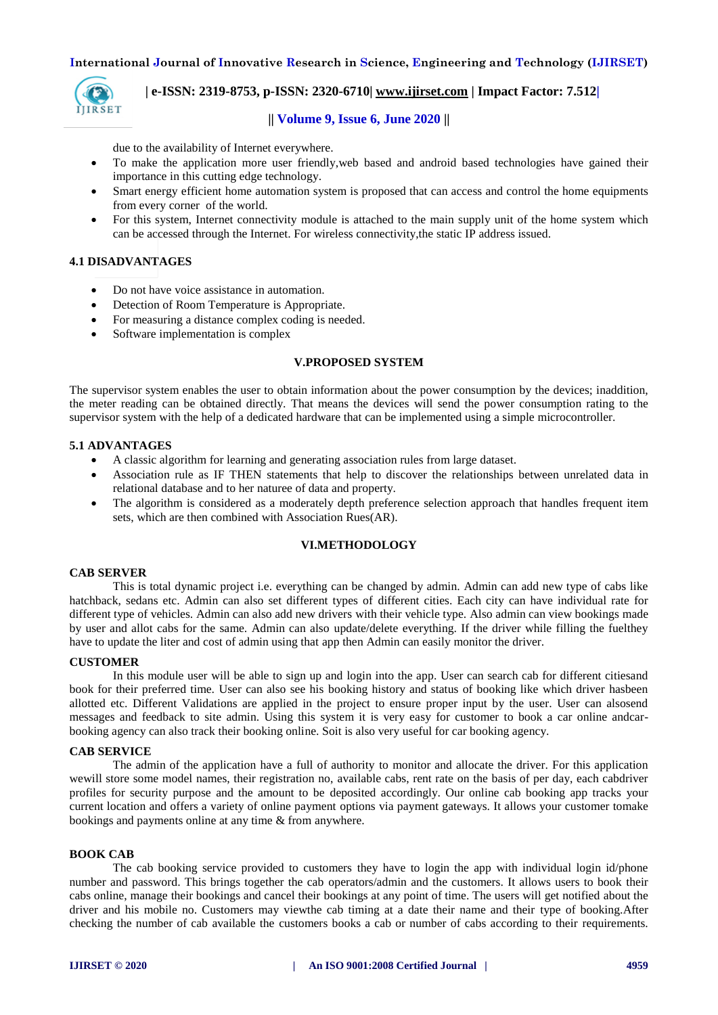

# **| e-ISSN: 2319-8753, p-ISSN: 2320-6710| [www.ijirset.com](http://www.ijirset.com/) | Impact Factor: 7.512|**

## **|| Volume 9, Issue 6, June 2020 ||**

due to the availability of Internet everywhere.

- To make the application more user friendly,web based and android based technologies have gained their importance in this cutting edge technology.
- Smart energy efficient home automation system is proposed that can access and control the home equipments from every corner of the world.
- For this system, Internet connectivity module is attached to the main supply unit of the home system which can be accessed through the Internet. For wireless connectivity,the static IP address issued.

## **4.1 DISADVANTAGES**

- Do not have voice assistance in automation.
- Detection of Room Temperature is Appropriate.
- For measuring a distance complex coding is needed.
- Software implementation is complex

## **V.PROPOSED SYSTEM**

The supervisor system enables the user to obtain information about the power consumption by the devices; inaddition, the meter reading can be obtained directly. That means the devices will send the power consumption rating to the supervisor system with the help of a dedicated hardware that can be implemented using a simple microcontroller.

## **5.1 ADVANTAGES**

- A classic algorithm for learning and generating association rules from large dataset.
- Association rule as IF THEN statements that help to discover the relationships between unrelated data in relational database and to her naturee of data and property.
- The algorithm is considered as a moderately depth preference selection approach that handles frequent item sets, which are then combined with Association Rues(AR).

## **VI.METHODOLOGY**

#### **CAB SERVER**

This is total dynamic project i.e. everything can be changed by admin. Admin can add new type of cabs like hatchback, sedans etc. Admin can also set different types of different cities. Each city can have individual rate for different type of vehicles. Admin can also add new drivers with their vehicle type. Also admin can view bookings made by user and allot cabs for the same. Admin can also update/delete everything. If the driver while filling the fuelthey have to update the liter and cost of admin using that app then Admin can easily monitor the driver.

## **CUSTOMER**

In this module user will be able to sign up and login into the app. User can search cab for different citiesand book for their preferred time. User can also see his booking history and status of booking like which driver hasbeen allotted etc. Different Validations are applied in the project to ensure proper input by the user. User can alsosend messages and feedback to site admin. Using this system it is very easy for customer to book a car online andcarbooking agency can also track their booking online. Soit is also very useful for car booking agency.

#### **CAB SERVICE**

The admin of the application have a full of authority to monitor and allocate the driver. For this application wewill store some model names, their registration no, available cabs, rent rate on the basis of per day, each cabdriver profiles for security purpose and the amount to be deposited accordingly. Our online cab booking app tracks your current location and offers a variety of online payment options via payment gateways. It allows your customer tomake bookings and payments online at any time & from anywhere.

## **BOOK CAB**

The cab booking service provided to customers they have to login the app with individual login id/phone number and password. This brings together the cab operators/admin and the customers. It allows users to book their cabs online, manage their bookings and cancel their bookings at any point of time. The users will get notified about the driver and his mobile no. Customers may viewthe cab timing at a date their name and their type of booking.After checking the number of cab available the customers books a cab or number of cabs according to their requirements.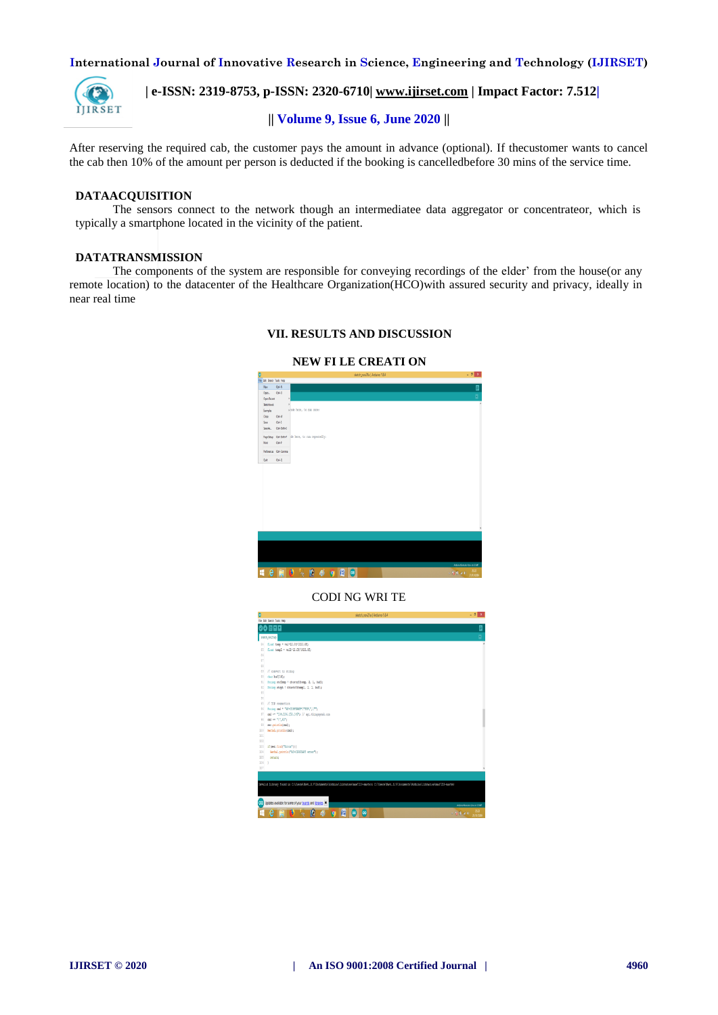

 **| e-ISSN: 2319-8753, p-ISSN: 2320-6710| [www.ijirset.com](http://www.ijirset.com/) | Impact Factor: 7.512|**

# **|| Volume 9, Issue 6, June 2020 ||**

After reserving the required cab, the customer pays the amount in advance (optional). If thecustomer wants to cancel the cab then 10% of the amount per person is deducted if the booking is cancelledbefore 30 mins of the service time.

## **DATAACQUISITION**

The sensors connect to the network though an intermediatee data aggregator or concentrateor, which is typically a smartphone located in the vicinity of the patient.

# **DATATRANSMISSION**

The components of the system are responsible for conveying recordings of the elder' from the house(or any remote location) to the datacenter of the Healthcare Organization(HCO)with assured security and privacy, ideally in near real time

## **VII. RESULTS AND DISCUSSION**

## **NEW FI LE CREATI ON**



## CODI NG WRI TE

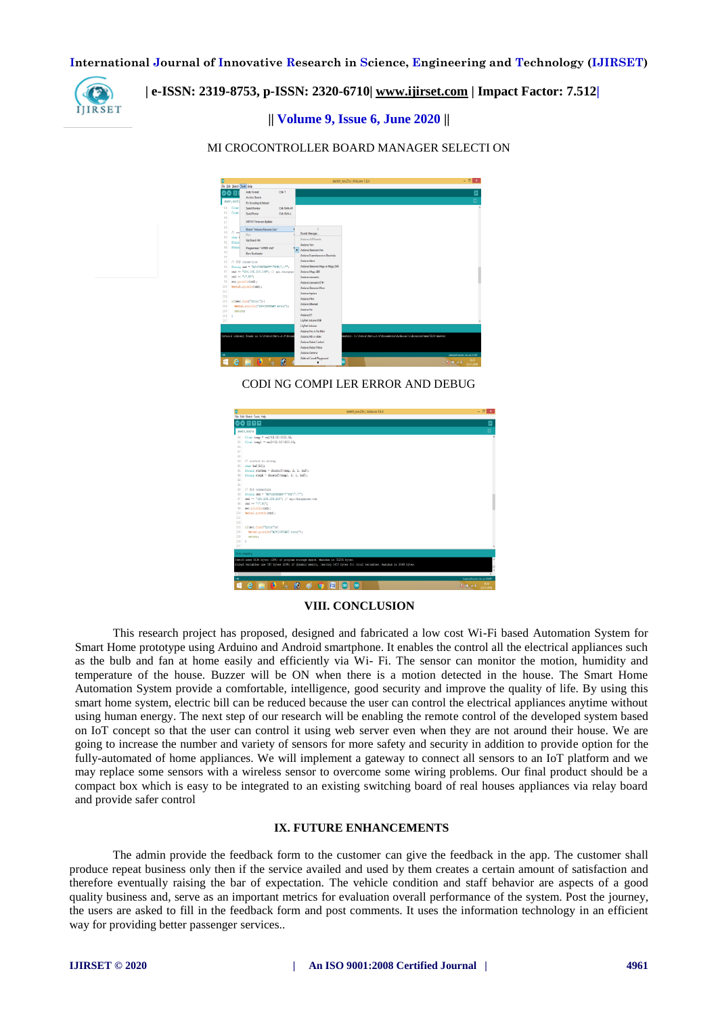

# **| e-ISSN: 2319-8753, p-ISSN: 2320-6710| [www.ijirset.com](http://www.ijirset.com/) | Impact Factor: 7.512|**

**|| Volume 9, Issue 6, June 2020 ||** 

## MI CROCONTROLLER BOARD MANAGER SELECTI ON



CODI NG COMPI LER ERROR AND DEBUG

|                | sketch nov21a   Arduino 1.8.4<br>File Edit Skatch Tools Help                                                           | $ 6x$                             |
|----------------|------------------------------------------------------------------------------------------------------------------------|-----------------------------------|
|                | 899                                                                                                                    | ⊡                                 |
|                | sketch_nov21a                                                                                                          | ø                                 |
| 84             | float temp = val*12.0f/1023.0f;                                                                                        |                                   |
| 85             | float templ = vall*12.0f/1023.0f;                                                                                      |                                   |
| 86             |                                                                                                                        |                                   |
| 87             |                                                                                                                        |                                   |
| 88             |                                                                                                                        |                                   |
| 89             | // convert to string                                                                                                   |                                   |
| 90             | char buff161:                                                                                                          |                                   |
| 92             | String strTemp = dtostrf(temp, 2, 1, buf);                                                                             |                                   |
| $^{92}$        | String strph = dtostrf (templ, 2, 1, buf);                                                                             |                                   |
| 93             |                                                                                                                        |                                   |
| $^{64}$        |                                                                                                                        |                                   |
| \$5            | // TCP connection                                                                                                      |                                   |
| 56<br>97       | String and = "AT*CIPSTART"\"SCP\".\"";<br>cmd += "184.106.153.149"; // api.thingspeak.com                              |                                   |
| 98             | and $\leftarrow$ "\".00";                                                                                              |                                   |
| 99             | ser.println(cmd);                                                                                                      |                                   |
| 100            | Serial.println(cmd);                                                                                                   |                                   |
| 101            |                                                                                                                        |                                   |
| 102            |                                                                                                                        |                                   |
| 103            | if (ser.find("Error")) {                                                                                               |                                   |
| 104            | Serial.println("AT+CIPSTART error");                                                                                   |                                   |
| 105            | returns                                                                                                                |                                   |
| 106<br>٠       |                                                                                                                        |                                   |
| 107            |                                                                                                                        |                                   |
|                |                                                                                                                        |                                   |
| Done compline. |                                                                                                                        |                                   |
|                | Sketch uses 9134 bytes (284) of program storage space. Maximum is 32256 bytes.                                         |                                   |
|                | Global variables use 595 bytes (294) of dynamic memory, leaving 1453 bytes for local variables. Maximum is 2048 bytes. |                                   |
|                |                                                                                                                        |                                   |
| $\epsilon$     |                                                                                                                        |                                   |
| m              |                                                                                                                        | Ashden/Genzine Unit on COM?       |
| ÷              | в<br>e<br>G<br>旧<br><b>l</b> ee<br>a,<br>ю<br>loc                                                                      | 22-24<br>$-5$ TL at $+$ 2011/2019 |

## **VIII. CONCLUSION**

This research project has proposed, designed and fabricated a low cost Wi-Fi based Automation System for Smart Home prototype using Arduino and Android smartphone. It enables the control all the electrical appliances such as the bulb and fan at home easily and efficiently via Wi- Fi. The sensor can monitor the motion, humidity and temperature of the house. Buzzer will be ON when there is a motion detected in the house. The Smart Home Automation System provide a comfortable, intelligence, good security and improve the quality of life. By using this smart home system, electric bill can be reduced because the user can control the electrical appliances anytime without using human energy. The next step of our research will be enabling the remote control of the developed system based on IoT concept so that the user can control it using web server even when they are not around their house. We are going to increase the number and variety of sensors for more safety and security in addition to provide option for the fully-automated of home appliances. We will implement a gateway to connect all sensors to an IoT platform and we may replace some sensors with a wireless sensor to overcome some wiring problems. Our final product should be a compact box which is easy to be integrated to an existing switching board of real houses appliances via relay board and provide safer control

## **IX. FUTURE ENHANCEMENTS**

The admin provide the feedback form to the customer can give the feedback in the app. The customer shall produce repeat business only then if the service availed and used by them creates a certain amount of satisfaction and therefore eventually raising the bar of expectation. The vehicle condition and staff behavior are aspects of a good quality business and, serve as an important metrics for evaluation overall performance of the system. Post the journey, the users are asked to fill in the feedback form and post comments. It uses the information technology in an efficient way for providing better passenger services..